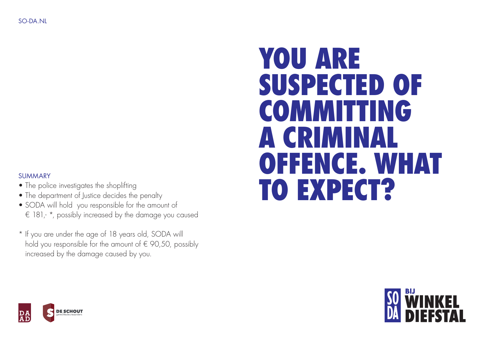# YOU ARE SUSPECTED OF COMMITTING A CRIMINAL OFFENCE. WHAT TO EXPECT?

### **SUMMARY**

- The police investigates the shoplifting
- The department of Justice decides the penalty
- SODA will hold you responsible for the amount of € 181,- \*, possibly increased by the damage you caused
- \* If you are under the age of 18 years old, SODA will hold you responsible for the amount of  $\epsilon$  90,50, possibly increased by the damage caused by you.